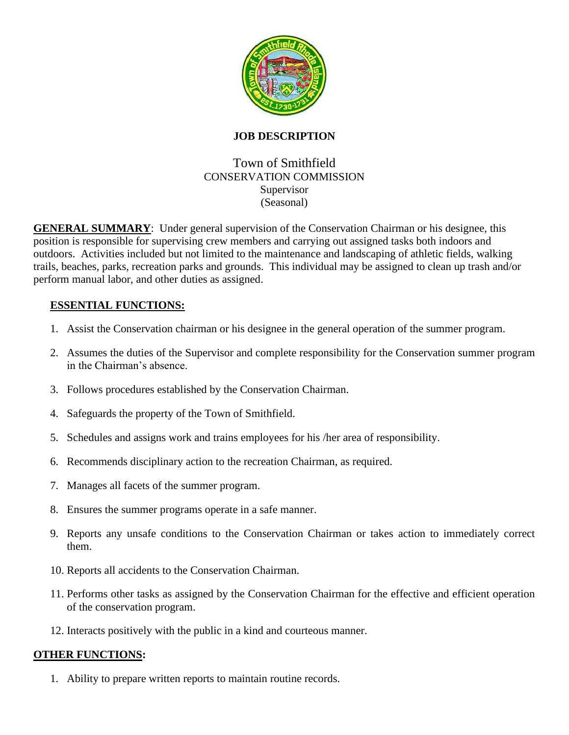

### **JOB DESCRIPTION**

# Town of Smithfield CONSERVATION COMMISSION Supervisor (Seasonal)

**GENERAL SUMMARY**: Under general supervision of the Conservation Chairman or his designee, this position is responsible for supervising crew members and carrying out assigned tasks both indoors and outdoors. Activities included but not limited to the maintenance and landscaping of athletic fields, walking trails, beaches, parks, recreation parks and grounds. This individual may be assigned to clean up trash and/or perform manual labor, and other duties as assigned.

## **ESSENTIAL FUNCTIONS:**

- 1. Assist the Conservation chairman or his designee in the general operation of the summer program.
- 2. Assumes the duties of the Supervisor and complete responsibility for the Conservation summer program in the Chairman's absence.
- 3. Follows procedures established by the Conservation Chairman.
- 4. Safeguards the property of the Town of Smithfield.
- 5. Schedules and assigns work and trains employees for his /her area of responsibility.
- 6. Recommends disciplinary action to the recreation Chairman, as required.
- 7. Manages all facets of the summer program.
- 8. Ensures the summer programs operate in a safe manner.
- 9. Reports any unsafe conditions to the Conservation Chairman or takes action to immediately correct them.
- 10. Reports all accidents to the Conservation Chairman.
- 11. Performs other tasks as assigned by the Conservation Chairman for the effective and efficient operation of the conservation program.
- 12. Interacts positively with the public in a kind and courteous manner.

#### **OTHER FUNCTIONS:**

1. Ability to prepare written reports to maintain routine records.